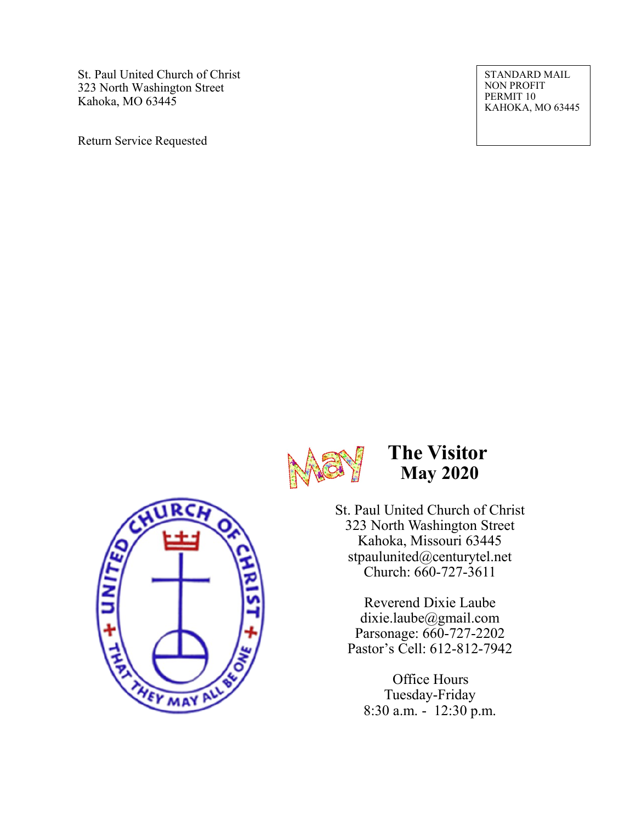St. Paul United Church of Christ 323 North Washington Street Kahoka, MO 63445

Return Service Requested

STANDARD MAIL NON PROFIT PERMIT 10 KAHOKA, MO 63445



## **The Visitor May 2020**

St. Paul United Church of Christ 323 North Washington Street Kahoka, Missouri 63445 stpaulunited@centurytel.net Church: 660-727-3611

Reverend Dixie Laube dixie.laube@gmail.com Parsonage: 660-727-2202 Pastor's Cell: 612-812-7942

Office Hours Tuesday-Friday 8:30 a.m. - 12:30 p.m.

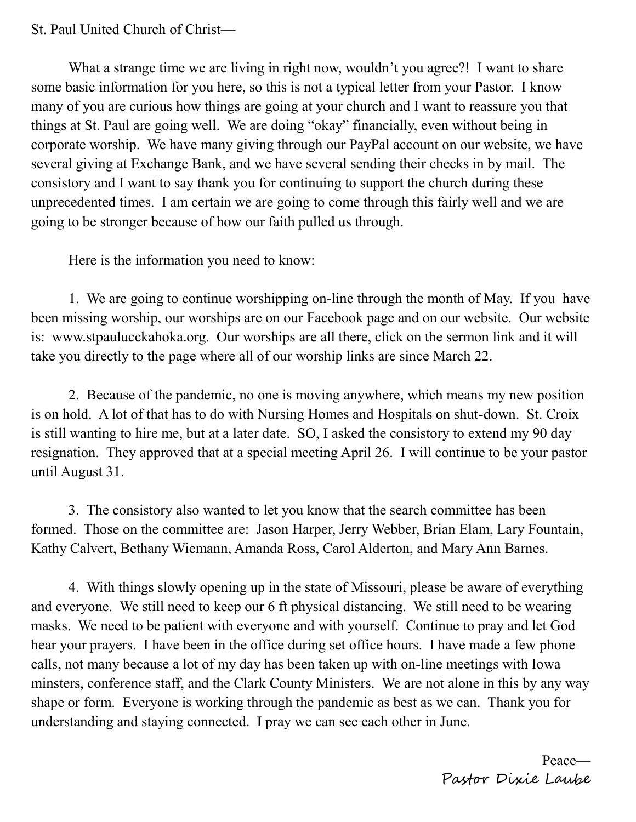## St. Paul United Church of Christ—

What a strange time we are living in right now, wouldn't you agree?! I want to share some basic information for you here, so this is not a typical letter from your Pastor. I know many of you are curious how things are going at your church and I want to reassure you that things at St. Paul are going well. We are doing "okay" financially, even without being in corporate worship. We have many giving through our PayPal account on our website, we have several giving at Exchange Bank, and we have several sending their checks in by mail. The consistory and I want to say thank you for continuing to support the church during these unprecedented times. I am certain we are going to come through this fairly well and we are going to be stronger because of how our faith pulled us through.

Here is the information you need to know:

1. We are going to continue worshipping on-line through the month of May. If you have been missing worship, our worships are on our Facebook page and on our website. Our website is: www.stpaulucckahoka.org. Our worships are all there, click on the sermon link and it will take you directly to the page where all of our worship links are since March 22.

2. Because of the pandemic, no one is moving anywhere, which means my new position is on hold. A lot of that has to do with Nursing Homes and Hospitals on shut-down. St. Croix is still wanting to hire me, but at a later date. SO, I asked the consistory to extend my 90 day resignation. They approved that at a special meeting April 26. I will continue to be your pastor until August 31.

3. The consistory also wanted to let you know that the search committee has been formed. Those on the committee are: Jason Harper, Jerry Webber, Brian Elam, Lary Fountain, Kathy Calvert, Bethany Wiemann, Amanda Ross, Carol Alderton, and Mary Ann Barnes.

4. With things slowly opening up in the state of Missouri, please be aware of everything and everyone. We still need to keep our 6 ft physical distancing. We still need to be wearing masks. We need to be patient with everyone and with yourself. Continue to pray and let God hear your prayers. I have been in the office during set office hours. I have made a few phone calls, not many because a lot of my day has been taken up with on-line meetings with Iowa minsters, conference staff, and the Clark County Ministers. We are not alone in this by any way shape or form. Everyone is working through the pandemic as best as we can. Thank you for understanding and staying connected. I pray we can see each other in June.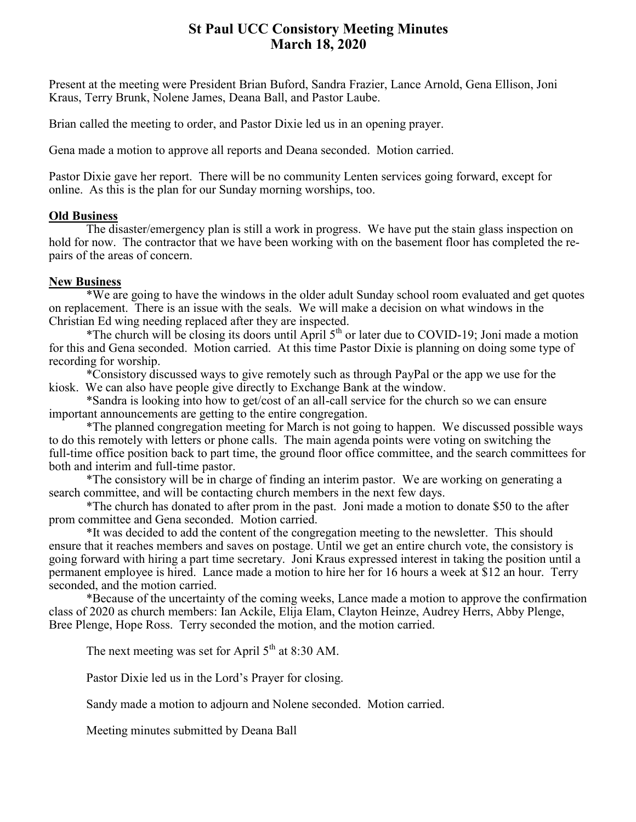### **St Paul UCC Consistory Meeting Minutes March 18, 2020**

Present at the meeting were President Brian Buford, Sandra Frazier, Lance Arnold, Gena Ellison, Joni Kraus, Terry Brunk, Nolene James, Deana Ball, and Pastor Laube.

Brian called the meeting to order, and Pastor Dixie led us in an opening prayer.

Gena made a motion to approve all reports and Deana seconded. Motion carried.

Pastor Dixie gave her report. There will be no community Lenten services going forward, except for online. As this is the plan for our Sunday morning worships, too.

#### **Old Business**

The disaster/emergency plan is still a work in progress. We have put the stain glass inspection on hold for now. The contractor that we have been working with on the basement floor has completed the repairs of the areas of concern.

#### **New Business**

\*We are going to have the windows in the older adult Sunday school room evaluated and get quotes on replacement. There is an issue with the seals. We will make a decision on what windows in the Christian Ed wing needing replaced after they are inspected.

\*The church will be closing its doors until April  $5<sup>th</sup>$  or later due to COVID-19; Joni made a motion for this and Gena seconded. Motion carried. At this time Pastor Dixie is planning on doing some type of recording for worship.

\*Consistory discussed ways to give remotely such as through PayPal or the app we use for the kiosk. We can also have people give directly to Exchange Bank at the window.

\*Sandra is looking into how to get/cost of an all-call service for the church so we can ensure important announcements are getting to the entire congregation.

\*The planned congregation meeting for March is not going to happen. We discussed possible ways to do this remotely with letters or phone calls. The main agenda points were voting on switching the full-time office position back to part time, the ground floor office committee, and the search committees for both and interim and full-time pastor.

\*The consistory will be in charge of finding an interim pastor. We are working on generating a search committee, and will be contacting church members in the next few days.

\*The church has donated to after prom in the past. Joni made a motion to donate \$50 to the after prom committee and Gena seconded. Motion carried.

\*It was decided to add the content of the congregation meeting to the newsletter. This should ensure that it reaches members and saves on postage. Until we get an entire church vote, the consistory is going forward with hiring a part time secretary. Joni Kraus expressed interest in taking the position until a permanent employee is hired. Lance made a motion to hire her for 16 hours a week at \$12 an hour. Terry seconded, and the motion carried.

\*Because of the uncertainty of the coming weeks, Lance made a motion to approve the confirmation class of 2020 as church members: Ian Ackile, Elija Elam, Clayton Heinze, Audrey Herrs, Abby Plenge, Bree Plenge, Hope Ross. Terry seconded the motion, and the motion carried.

The next meeting was set for April  $5<sup>th</sup>$  at 8:30 AM.

Pastor Dixie led us in the Lord's Prayer for closing.

Sandy made a motion to adjourn and Nolene seconded. Motion carried.

Meeting minutes submitted by Deana Ball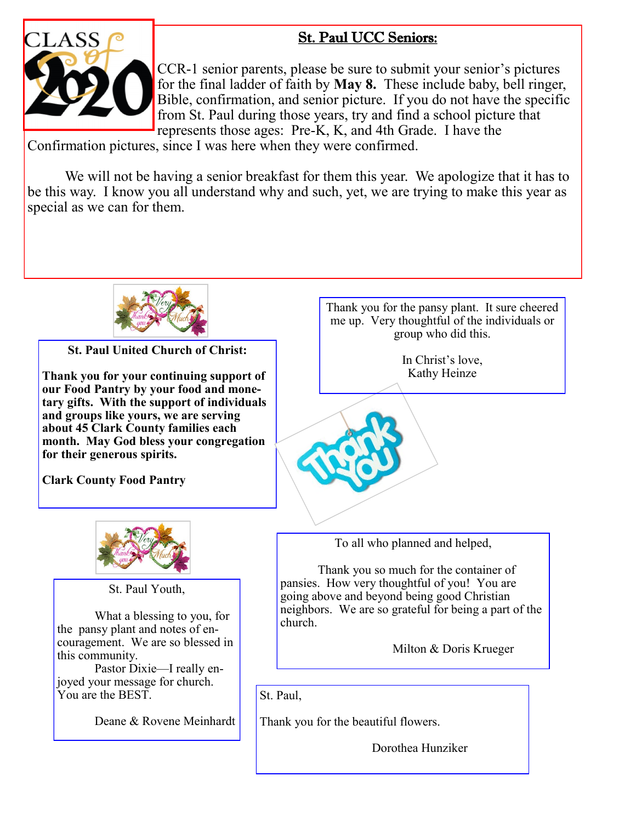## St. Paul UCC Seniors:



CCR-1 senior parents, please be sure to submit your senior's pictures for the final ladder of faith by **May 8.** These include baby, bell ringer, Bible, confirmation, and senior picture. If you do not have the specific from St. Paul during those years, try and find a school picture that represents those ages: Pre-K, K, and 4th Grade. I have the

Confirmation pictures, since I was here when they were confirmed.

We will not be having a senior breakfast for them this year. We apologize that it has to be this way. I know you all understand why and such, yet, we are trying to make this year as special as we can for them.



**St. Paul United Church of Christ:**

**Thank you for your continuing support of our Food Pantry by your food and monetary gifts. With the support of individuals and groups like yours, we are serving about 45 Clark County families each month. May God bless your congregation for their generous spirits.** 

**Clark County Food Pantry**



St. Paul Youth,

What a blessing to you, for the pansy plant and notes of encouragement. We are so blessed in this community.

Pastor Dixie—I really enjoyed your message for church. You are the BEST.

Deane & Rovene Meinhardt

Thank you for the pansy plant. It sure cheered me up. Very thoughtful of the individuals or group who did this.

> In Christ's love, Kathy Heinze

To all who planned and helped,

Thank you so much for the container of pansies. How very thoughtful of you! You are going above and beyond being good Christian neighbors. We are so grateful for being a part of the church.

Milton & Doris Krueger

St. Paul,

Thank you for the beautiful flowers.

Dorothea Hunziker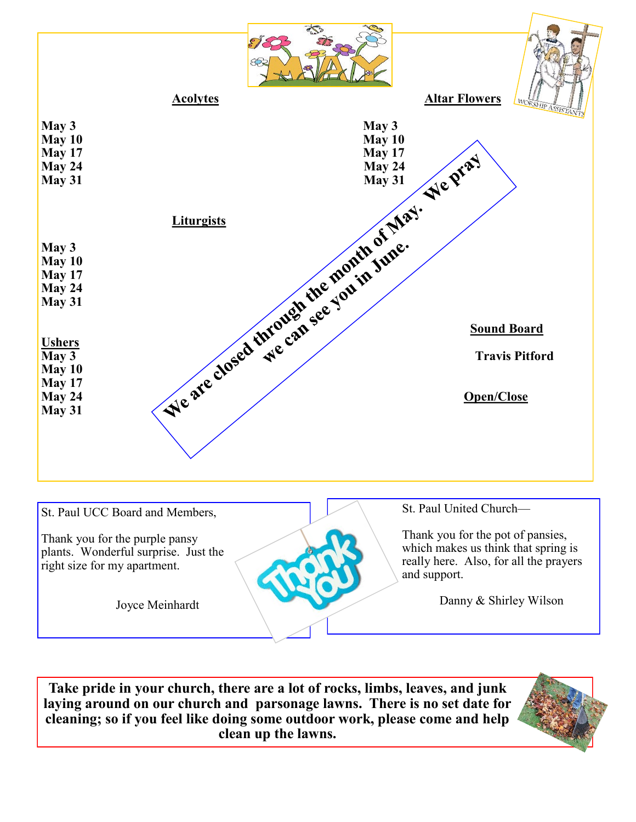

**Take pride in your church, there are a lot of rocks, limbs, leaves, and junk laying around on our church and parsonage lawns. There is no set date for cleaning; so if you feel like doing some outdoor work, please come and help clean up the lawns.**

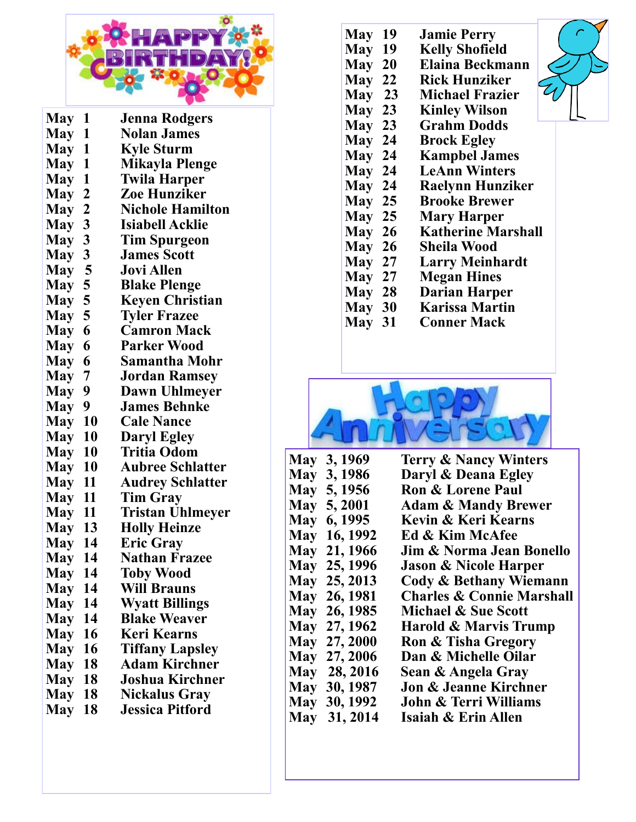

| <b>May</b><br>1                       | Jenna Rodgers           |
|---------------------------------------|-------------------------|
| <b>May</b><br>$\mathbf 1$             | <b>Nolan James</b>      |
| May 1                                 | <b>Kyle Sturm</b>       |
| May 1                                 | <b>Mikayla Plenge</b>   |
| May 1                                 | <b>Twila Harper</b>     |
| $\boldsymbol{2}$<br><b>May</b>        | <b>Zoe Hunziker</b>     |
| <b>May</b><br>$\overline{2}$          | <b>Nichole Hamilton</b> |
| 3<br><b>May</b>                       | <b>Isiabell Acklie</b>  |
| <b>May</b><br>$\boldsymbol{3}$        | Tim Spurgeon            |
| $\mathbf{3}$<br>May                   | <b>James Scott</b>      |
| $\overline{\mathbf{5}}$<br><b>May</b> | <b>Jovi Allen</b>       |
| 5<br>May                              | <b>Blake Plenge</b>     |
| 5<br><b>May</b>                       | <b>Keyen Christian</b>  |
| 5<br>May                              | <b>Tyler Frazee</b>     |
| 6<br><b>May</b>                       | <b>Camron Mack</b>      |
| 6<br><b>May</b>                       | <b>Parker Wood</b>      |
| 6<br><b>May</b>                       | Samantha Mohr           |
| 7<br><b>May</b>                       | Jordan Ramsey           |
| 9<br>May                              | Dawn Uhlmeyer           |
| 9<br><b>May</b>                       | <b>James Behnke</b>     |
| 10<br>May                             | <b>Cale Nance</b>       |
| 10<br>May                             | <b>Daryl Egley</b>      |
| <b>May</b><br><b>10</b>               | <b>Tritia Odom</b>      |
| 10<br><b>May</b>                      | <b>Aubree Schlatter</b> |
| <b>May</b><br>11                      | <b>Audrey Schlatter</b> |
| May<br>11                             | <b>Tim Gray</b>         |
| <b>May</b><br>-11                     | <b>Tristan Uhlmeyer</b> |
| <b>May 13</b>                         | <b>Holly Heinze</b>     |
| <b>May 14</b>                         | <b>Eric Gray</b>        |
| 14<br><b>May</b>                      | <b>Nathan Frazee</b>    |
| <b>May</b><br>14                      | <b>Toby Wood</b>        |
| <b>May</b><br>14                      | <b>Will Brauns</b>      |
| 14<br>May                             | <b>Wyatt Billings</b>   |
| 14<br><b>May</b>                      | <b>Blake Weaver</b>     |
| 16<br><b>May</b>                      | <b>Keri Kearns</b>      |
| <b>May</b><br>16                      | <b>Tiffany Lapsley</b>  |
| 18<br><b>May</b>                      | <b>Adam Kirchner</b>    |
| 18<br><b>May</b>                      | <b>Joshua Kirchner</b>  |
| <b>18</b><br><b>May</b>               | <b>Nickalus Gray</b>    |
| May<br>18                             | <b>Jessica Pitford</b>  |

- **May 19 Jamie Perry**
- **May 19 Kelly Shofield**
- **May 20 Elaina Beckmann**
- **May 22 Rick Hunziker**
- **May 23 Michael Frazier**
- **May 23 Kinley Wilson**
- **May 23 Grahm Dodds**
- **May 24 Brock Egley**
- **May 24 Kampbel James**
- **May 24 LeAnn Winters**
- **May 24 Raelynn Hunziker May 25 Brooke Brewer**
- 
- **May 25 Mary Harper**
- **May 26 Katherine Marshall**
- **May 26 Sheila Wood**
- **May 27 Larry Meinhardt**
- **May 27 Megan Hines**
- **May 28 Darian Harper**
- **May 30 Karissa Martin**
- **Conner Mack**



|  | May 3, 1969  | <b>Terry &amp; Nancy Winters</b>     |
|--|--------------|--------------------------------------|
|  | May 3, 1986  | Daryl & Deana Egley                  |
|  | May 5, 1956  | <b>Ron &amp; Lorene Paul</b>         |
|  | May 5, 2001  | <b>Adam &amp; Mandy Brewer</b>       |
|  | May 6, 1995  | <b>Kevin &amp; Keri Kearns</b>       |
|  | May 16, 1992 | Ed & Kim McAfee                      |
|  | May 21, 1966 | Jim & Norma Jean Bonello             |
|  | May 25, 1996 | <b>Jason &amp; Nicole Harper</b>     |
|  | May 25, 2013 | Cody & Bethany Wiemann               |
|  | May 26, 1981 | <b>Charles &amp; Connie Marshall</b> |
|  | May 26, 1985 | Michael & Sue Scott                  |
|  | May 27, 1962 | Harold & Marvis Trump                |
|  | May 27, 2000 | <b>Ron &amp; Tisha Gregory</b>       |
|  | May 27, 2006 | Dan & Michelle Oilar                 |
|  | May 28, 2016 | Sean & Angela Gray                   |
|  | May 30, 1987 | Jon & Jeanne Kirchner                |
|  | May 30, 1992 | <b>John &amp; Terri Williams</b>     |
|  | May 31, 2014 | Isaiah & Erin Allen                  |
|  |              |                                      |

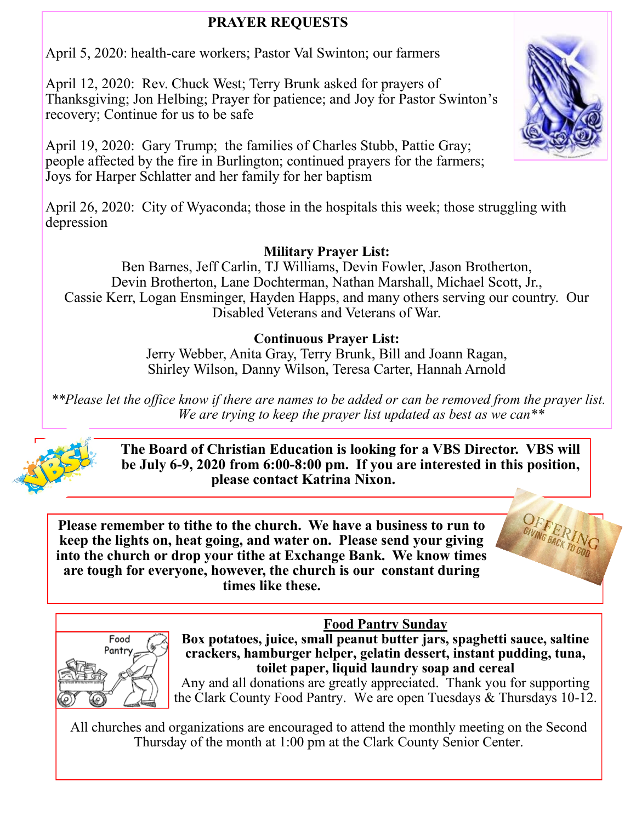## **PRAYER REQUESTS**

April 5, 2020: health-care workers; Pastor Val Swinton; our farmers

April 12, 2020: Rev. Chuck West; Terry Brunk asked for prayers of Thanksgiving; Jon Helbing; Prayer for patience; and Joy for Pastor Swinton's recovery; Continue for us to be safe

April 19, 2020: Gary Trump; the families of Charles Stubb, Pattie Gray; people affected by the fire in Burlington; continued prayers for the farmers; Joys for Harper Schlatter and her family for her baptism

April 26, 2020: City of Wyaconda; those in the hospitals this week; those struggling with depression

## **Military Prayer List:**

Ben Barnes, Jeff Carlin, TJ Williams, Devin Fowler, Jason Brotherton, Devin Brotherton, Lane Dochterman, Nathan Marshall, Michael Scott, Jr., Cassie Kerr, Logan Ensminger, Hayden Happs, and many others serving our country. Our Disabled Veterans and Veterans of War.

## **Continuous Prayer List:**

Jerry Webber, Anita Gray, Terry Brunk, Bill and Joann Ragan, Shirley Wilson, Danny Wilson, Teresa Carter, Hannah Arnold

*\*\*Please let the office know if there are names to be added or can be removed from the prayer list. We are trying to keep the prayer list updated as best as we can\*\**



**The Board of Christian Education is looking for a VBS Director. VBS will be July 6-9, 2020 from 6:00-8:00 pm. If you are interested in this position, please contact Katrina Nixon.**

**Please remember to tithe to the church. We have a business to run to keep the lights on, heat going, and water on. Please send your giving into the church or drop your tithe at Exchange Bank. We know times are tough for everyone, however, the church is our constant during times like these.**



**Food Pantry Sunday Box potatoes, juice, small peanut butter jars, spaghetti sauce, saltine crackers, hamburger helper, gelatin dessert, instant pudding, tuna, toilet paper, liquid laundry soap and cereal** 

Any and all donations are greatly appreciated. Thank you for supporting the Clark County Food Pantry. We are open Tuesdays & Thursdays 10-12.

All churches and organizations are encouraged to attend the monthly meeting on the Second Thursday of the month at 1:00 pm at the Clark County Senior Center.

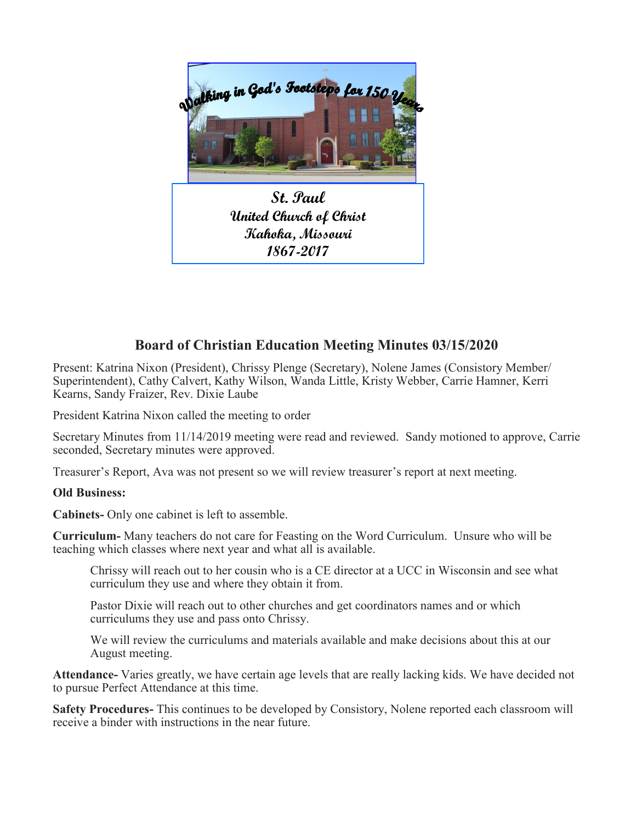

**St. Paul United Church of Christ Kahoka, Missouri 1867-2017**

## **Board of Christian Education Meeting Minutes 03/15/2020**

Present: Katrina Nixon (President), Chrissy Plenge (Secretary), Nolene James (Consistory Member/ Superintendent), Cathy Calvert, Kathy Wilson, Wanda Little, Kristy Webber, Carrie Hamner, Kerri Kearns, Sandy Fraizer, Rev. Dixie Laube

President Katrina Nixon called the meeting to order

Secretary Minutes from 11/14/2019 meeting were read and reviewed. Sandy motioned to approve, Carrie seconded, Secretary minutes were approved.

Treasurer's Report, Ava was not present so we will review treasurer's report at next meeting.

#### **Old Business:**

**Cabinets-** Only one cabinet is left to assemble.

**Curriculum-** Many teachers do not care for Feasting on the Word Curriculum. Unsure who will be teaching which classes where next year and what all is available.

Chrissy will reach out to her cousin who is a CE director at a UCC in Wisconsin and see what curriculum they use and where they obtain it from.

Pastor Dixie will reach out to other churches and get coordinators names and or which curriculums they use and pass onto Chrissy.

We will review the curriculums and materials available and make decisions about this at our August meeting.

**Attendance-** Varies greatly, we have certain age levels that are really lacking kids. We have decided not to pursue Perfect Attendance at this time.

**Safety Procedures-** This continues to be developed by Consistory, Nolene reported each classroom will receive a binder with instructions in the near future.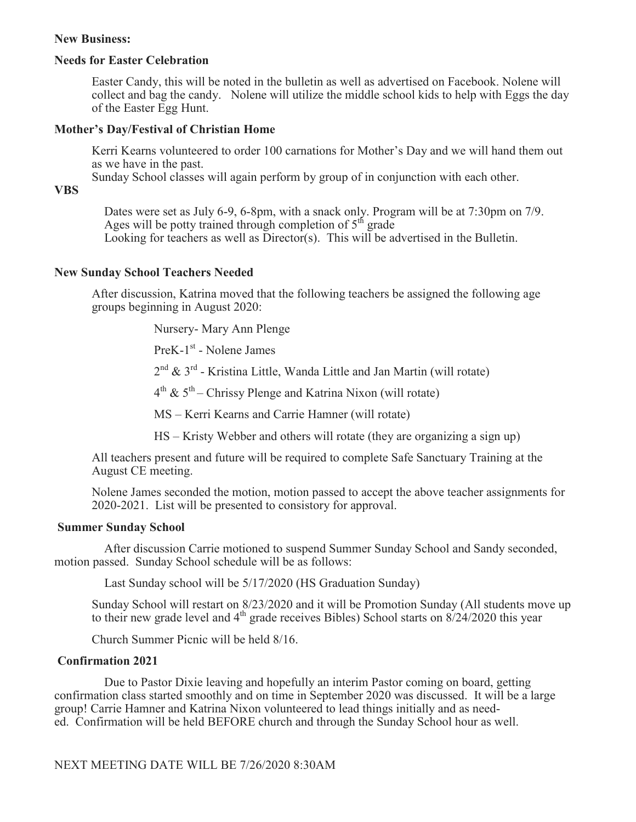#### **New Business:**

#### **Needs for Easter Celebration**

Easter Candy, this will be noted in the bulletin as well as advertised on Facebook. Nolene will collect and bag the candy. Nolene will utilize the middle school kids to help with Eggs the day of the Easter Egg Hunt.

#### **Mother's Day/Festival of Christian Home**

Kerri Kearns volunteered to order 100 carnations for Mother's Day and we will hand them out as we have in the past.

Sunday School classes will again perform by group of in conjunction with each other.

#### **VBS**

 Dates were set as July 6-9, 6-8pm, with a snack only. Program will be at 7:30pm on 7/9. Ages will be potty trained through completion of  $5<sup>th</sup>$  grade Looking for teachers as well as Director(s). This will be advertised in the Bulletin.

#### **New Sunday School Teachers Needed**

After discussion, Katrina moved that the following teachers be assigned the following age groups beginning in August 2020:

Nursery- Mary Ann Plenge

PreK-1<sup>st</sup> - Nolene James

 2 <sup>nd</sup> & 3<sup>rd</sup> - Kristina Little, Wanda Little and Jan Martin (will rotate)

 4 <sup>th</sup> &  $5<sup>th</sup>$  – Chrissy Plenge and Katrina Nixon (will rotate)

MS – Kerri Kearns and Carrie Hamner (will rotate)

HS – Kristy Webber and others will rotate (they are organizing a sign up)

All teachers present and future will be required to complete Safe Sanctuary Training at the August CE meeting.

Nolene James seconded the motion, motion passed to accept the above teacher assignments for 2020-2021. List will be presented to consistory for approval.

#### **Summer Sunday School**

 After discussion Carrie motioned to suspend Summer Sunday School and Sandy seconded, motion passed. Sunday School schedule will be as follows:

Last Sunday school will be 5/17/2020 (HS Graduation Sunday)

Sunday School will restart on 8/23/2020 and it will be Promotion Sunday (All students move up to their new grade level and  $4<sup>th</sup>$  grade receives Bibles) School starts on  $8/24/2020$  this year

Church Summer Picnic will be held 8/16.

#### **Confirmation 2021**

 Due to Pastor Dixie leaving and hopefully an interim Pastor coming on board, getting confirmation class started smoothly and on time in September 2020 was discussed. It will be a large group! Carrie Hamner and Katrina Nixon volunteered to lead things initially and as needed. Confirmation will be held BEFORE church and through the Sunday School hour as well.